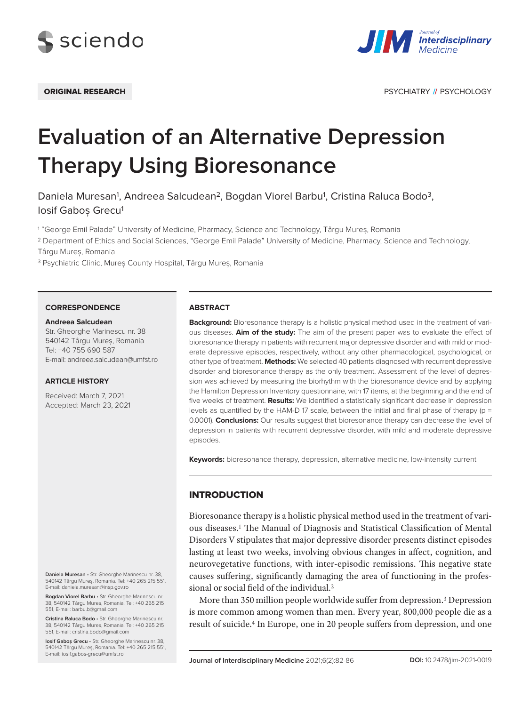



ORIGINAL RESEARCH PSYCHIATRY **//** PSYCHOLOGY

# **Evaluation of an Alternative Depression Therapy Using Bioresonance**

Daniela Muresan<sup>1</sup>, Andreea Salcudean<sup>2</sup>, Bogdan Viorel Barbu<sup>1</sup>, Cristina Raluca Bodo<sup>3</sup>, Iosif Gabos Grecu<sup>1</sup>

1 "George Emil Palade" University of Medicine, Pharmacy, Science and Technology, Târgu Mureș, Romania

2 Department of Ethics and Social Sciences, "George Emil Palade" University of Medicine, Pharmacy, Science and Technology,

Târgu Mureș, Romania

3 Psychiatric Clinic, Mureș County Hospital, Târgu Mureș, Romania

#### **CORRESPONDENCE**

# **Andreea Salcudean**

Str. Gheorghe Marinescu nr. 38 540142 Târgu Mureș, Romania Tel: +40 755 690 587 E-mail: andreea.salcudean@umfst.ro

#### **ARTICLE HISTORY**

Received: March 7, 2021 Accepted: March 23, 2021

**Daniela Muresan** • Str. Gheorghe Marinescu nr. 38, 540142 Târgu Mureș, Romania. Tel: +40 265 215 551, E-mail: daniela.muresan@insp.gov.ro

**Bogdan Viorel Barbu** • Str. Gheorghe Marinescu nr. 38, 540142 Târgu Mureș, Romania. Tel: +40 265 215 551, E-mail: barbu.b@gmail.com

**Cristina Raluca Bodo** • Str. Gheorghe Marinescu nr. 38, 540142 Târgu Mureș, Romania. Tel: +40 265 215 551, E-mail: cristina.bodo@gmail.com

**Iosif Gaboș Grecu** • Str. Gheorghe Marinescu nr. 38, 540142 Târgu Mureș, Romania. Tel: +40 265 215 551, E-mail: iosif.gabos-grecu@umfst.ro

#### **ABSTRACT**

**Background:** Bioresonance therapy is a holistic physical method used in the treatment of various diseases. **Aim of the study:** The aim of the present paper was to evaluate the effect of bioresonance therapy in patients with recurrent major depressive disorder and with mild or moderate depressive episodes, respectively, without any other pharmacological, psychological, or other type of treatment. **Methods:** We selected 40 patients diagnosed with recurrent depressive disorder and bioresonance therapy as the only treatment. Assessment of the level of depression was achieved by measuring the biorhythm with the bioresonance device and by applying the Hamilton Depression Inventory questionnaire, with 17 items, at the beginning and the end of five weeks of treatment. **Results:** We identified a statistically significant decrease in depression levels as quantified by the HAM-D 17 scale, between the initial and final phase of therapy (p = 0.0001). **Conclusions:** Our results suggest that bioresonance therapy can decrease the level of depression in patients with recurrent depressive disorder, with mild and moderate depressive episodes.

**Keywords:** bioresonance therapy, depression, alternative medicine, low-intensity current

# **INTRODUCTION**

Bioresonance therapy is a holistic physical method used in the treatment of various diseases.1 The Manual of Diagnosis and Statistical Classification of Mental Disorders V stipulates that major depressive disorder presents distinct episodes lasting at least two weeks, involving obvious changes in affect, cognition, and neurovegetative functions, with inter-episodic remissions. This negative state causes suffering, significantly damaging the area of functioning in the professional or social field of the individual.2

More than 350 million people worldwide suffer from depression.<sup>3</sup> Depression is more common among women than men. Every year, 800,000 people die as a result of suicide.4 In Europe, one in 20 people suffers from depression, and one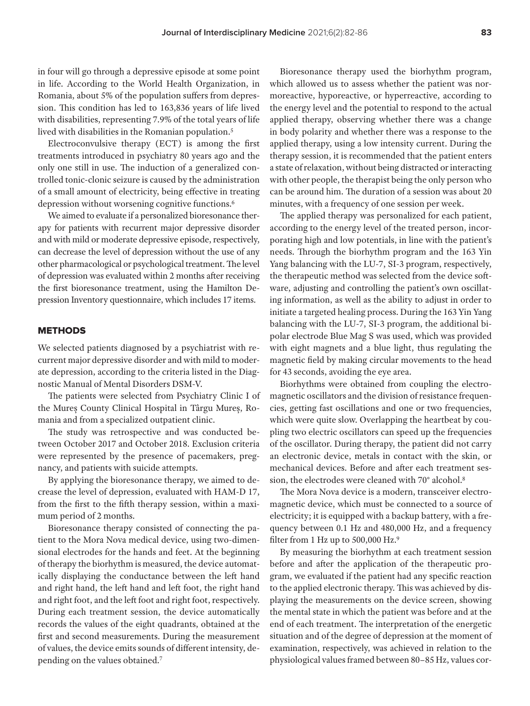in four will go through a depressive episode at some point in life. According to the World Health Organization, in Romania, about 5% of the population suffers from depression. This condition has led to 163,836 years of life lived with disabilities, representing 7.9% of the total years of life lived with disabilities in the Romanian population.5

Electroconvulsive therapy (ECT) is among the first treatments introduced in psychiatry 80 years ago and the only one still in use. The induction of a generalized controlled tonic-clonic seizure is caused by the administration of a small amount of electricity, being effective in treating depression without worsening cognitive functions.<sup>6</sup>

We aimed to evaluate if a personalized bioresonance therapy for patients with recurrent major depressive disorder and with mild or moderate depressive episode, respectively, can decrease the level of depression without the use of any other pharmacological or psychological treatment. The level of depression was evaluated within 2 months after receiving the first bioresonance treatment, using the Hamilton Depression Inventory questionnaire, which includes 17 items.

### METHODS

We selected patients diagnosed by a psychiatrist with recurrent major depressive disorder and with mild to moderate depression, according to the criteria listed in the Diagnostic Manual of Mental Disorders DSM-V.

The patients were selected from Psychiatry Clinic I of the Mureș County Clinical Hospital in Târgu Mureș, Romania and from a specialized outpatient clinic.

The study was retrospective and was conducted between October 2017 and October 2018. Exclusion criteria were represented by the presence of pacemakers, pregnancy, and patients with suicide attempts.

By applying the bioresonance therapy, we aimed to decrease the level of depression, evaluated with HAM-D 17, from the first to the fifth therapy session, within a maximum period of 2 months.

Bioresonance therapy consisted of connecting the patient to the Mora Nova medical device, using two-dimensional electrodes for the hands and feet. At the beginning of therapy the biorhythm is measured, the device automatically displaying the conductance between the left hand and right hand, the left hand and left foot, the right hand and right foot, and the left foot and right foot, respectively. During each treatment session, the device automatically records the values of the eight quadrants, obtained at the first and second measurements. During the measurement of values, the device emits sounds of different intensity, depending on the values obtained.7

Bioresonance therapy used the biorhythm program, which allowed us to assess whether the patient was normoreactive, hyporeactive, or hyperreactive, according to the energy level and the potential to respond to the actual applied therapy, observing whether there was a change in body polarity and whether there was a response to the applied therapy, using a low intensity current. During the therapy session, it is recommended that the patient enters a state of relaxation, without being distracted or interacting with other people, the therapist being the only person who can be around him. The duration of a session was about 20 minutes, with a frequency of one session per week.

The applied therapy was personalized for each patient, according to the energy level of the treated person, incorporating high and low potentials, in line with the patient's needs. Through the biorhythm program and the 163 Yin Yang balancing with the LU-7, SI-3 program, respectively, the therapeutic method was selected from the device software, adjusting and controlling the patient's own oscillating information, as well as the ability to adjust in order to initiate a targeted healing process. During the 163 Yin Yang balancing with the LU-7, SI-3 program, the additional bipolar electrode Blue Mag S was used, which was provided with eight magnets and a blue light, thus regulating the magnetic field by making circular movements to the head for 43 seconds, avoiding the eye area.

Biorhythms were obtained from coupling the electromagnetic oscillators and the division of resistance frequencies, getting fast oscillations and one or two frequencies, which were quite slow. Overlapping the heartbeat by coupling two electric oscillators can speed up the frequencies of the oscillator. During therapy, the patient did not carry an electronic device, metals in contact with the skin, or mechanical devices. Before and after each treatment session, the electrodes were cleaned with 70° alcohol.<sup>8</sup>

The Mora Nova device is a modern, transceiver electromagnetic device, which must be connected to a source of electricity; it is equipped with a backup battery, with a frequency between 0.1 Hz and 480,000 Hz, and a frequency filter from 1 Hz up to 500,000 Hz.9

By measuring the biorhythm at each treatment session before and after the application of the therapeutic program, we evaluated if the patient had any specific reaction to the applied electronic therapy. This was achieved by displaying the measurements on the device screen, showing the mental state in which the patient was before and at the end of each treatment. The interpretation of the energetic situation and of the degree of depression at the moment of examination, respectively, was achieved in relation to the physiological values framed between 80–85 Hz, values cor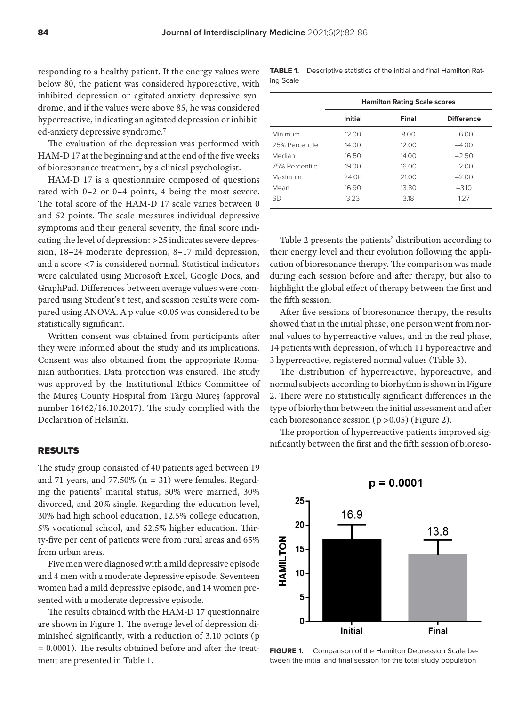responding to a healthy patient. If the energy values were below 80, the patient was considered hyporeactive, with inhibited depression or agitated-anxiety depressive syndrome, and if the values were above 85, he was considered hyperreactive, indicating an agitated depression or inhibited-anxiety depressive syndrome.7

The evaluation of the depression was performed with HAM-D 17 at the beginning and at the end of the five weeks of bioresonance treatment, by a clinical psychologist.

HAM-D 17 is a questionnaire composed of questions rated with 0–2 or 0–4 points, 4 being the most severe. The total score of the HAM-D 17 scale varies between 0 and 52 points. The scale measures individual depressive symptoms and their general severity, the final score indicating the level of depression: >25 indicates severe depression, 18–24 moderate depression, 8–17 mild depression, and a score <7 is considered normal. Statistical indicators were calculated using Microsoft Excel, Google Docs, and GraphPad. Differences between average values were compared using Student's t test, and session results were compared using ANOVA. A p value <0.05 was considered to be statistically significant.

Written consent was obtained from participants after they were informed about the study and its implications. Consent was also obtained from the appropriate Romanian authorities. Data protection was ensured. The study was approved by the Institutional Ethics Committee of the Mureș County Hospital from Târgu Mureș (approval number 16462/16.10.2017). The study complied with the Declaration of Helsinki.

# RESULTS

The study group consisted of 40 patients aged between 19 and 71 years, and 77.50% ( $n = 31$ ) were females. Regarding the patients' marital status, 50% were married, 30% divorced, and 20% single. Regarding the education level, 30% had high school education, 12.5% college education, 5% vocational school, and 52.5% higher education. Thirty-five per cent of patients were from rural areas and 65% from urban areas.

Five men were diagnosed with a mild depressive episode and 4 men with a moderate depressive episode. Seventeen women had a mild depressive episode, and 14 women presented with a moderate depressive episode.

The results obtained with the HAM-D 17 questionnaire are shown in Figure 1. The average level of depression diminished significantly, with a reduction of 3.10 points (p = 0.0001). The results obtained before and after the treatment are presented in Table 1.

**TABLE 1.** Descriptive statistics of the initial and final Hamilton Rating Scale

|                | <b>Hamilton Rating Scale scores</b> |       |                   |  |  |  |  |  |  |
|----------------|-------------------------------------|-------|-------------------|--|--|--|--|--|--|
|                | Initial                             | Final | <b>Difference</b> |  |  |  |  |  |  |
| Minimum        | 12.00                               | 8.00  | $-6.00$           |  |  |  |  |  |  |
| 25% Percentile | 14.00                               | 12.00 | $-4.00$           |  |  |  |  |  |  |
| Median         | 16.50                               | 14.00 | $-2.50$           |  |  |  |  |  |  |
| 75% Percentile | 19.00                               | 16.00 | $-2.00$           |  |  |  |  |  |  |
| Maximum        | 24.00                               | 21.00 | $-2.00$           |  |  |  |  |  |  |
| Mean           | 16.90                               | 13.80 | $-3.10$           |  |  |  |  |  |  |
| SD             | 3.23                                | 3.18  | 1.27              |  |  |  |  |  |  |

Table 2 presents the patients' distribution according to their energy level and their evolution following the application of bioresonance therapy. The comparison was made during each session before and after therapy, but also to highlight the global effect of therapy between the first and the fifth session.

After five sessions of bioresonance therapy, the results showed that in the initial phase, one person went from normal values to hyperreactive values, and in the real phase, 14 patients with depression, of which 11 hyporeactive and 3 hyperreactive, registered normal values (Table 3).

The distribution of hyperreactive, hyporeactive, and normal subjects according to biorhythm is shown in Figure 2. There were no statistically significant differences in the type of biorhythm between the initial assessment and after each bioresonance session (p >0.05) (Figure 2).

The proportion of hyperreactive patients improved significantly between the first and the fifth session of bioreso-



**FIGURE 1.** Comparison of the Hamilton Depression Scale between the initial and final session for the total study population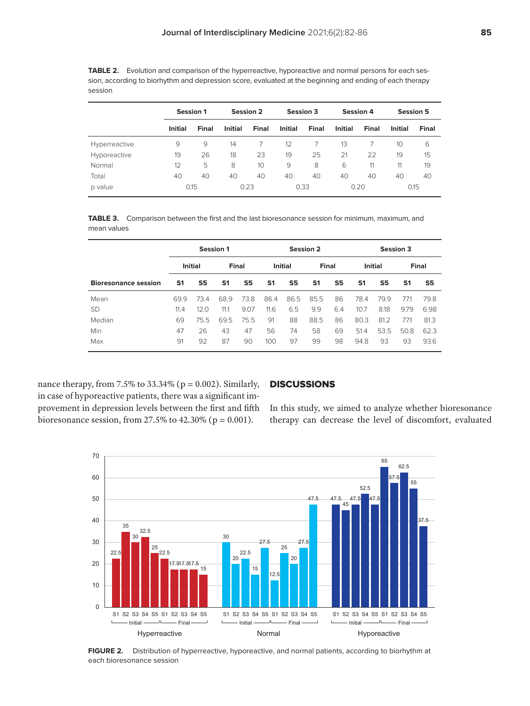|               |                | <b>Session 1</b> |                | <b>Session 2</b><br><b>Session 3</b> |                |       | <b>Session 4</b> |              | <b>Session 5</b> |       |
|---------------|----------------|------------------|----------------|--------------------------------------|----------------|-------|------------------|--------------|------------------|-------|
|               | <b>Initial</b> | <b>Final</b>     | <b>Initial</b> | Final                                | <b>Initial</b> | Final | <b>Initial</b>   | <b>Final</b> | <b>Initial</b>   | Final |
| Hyperreactive | 9              | 9                | 14             |                                      | 12             |       | 13               |              | 10               | 6     |
| Hyporeactive  | 19             | 26               | 18             | 23                                   | 19             | 25    | 21               | 22           | 19               | 15    |
| Normal        | 12             | 5                | 8              | 10                                   | 9              | 8     | 6                | 11           | 11               | 19    |
| Total         | 40             | 40               | 40             | 40                                   | 40             | 40    | 40               | 40           | 40               | 40    |
| p value       | 0.15           |                  | 0.23           |                                      | 0.33           |       | 0.20             |              | 0.15             |       |

**TABLE 2.** Evolution and comparison of the hyperreactive, hyporeactive and normal persons for each session, according to biorhythm and depression score, evaluated at the beginning and ending of each therapy session

**TABLE 3.** Comparison between the first and the last bioresonance session for minimum, maximum, and mean values

|                             | <b>Session 1</b> |                |                |      | <b>Session 2</b> |                |                |                | <b>Session 3</b> |      |                |      |
|-----------------------------|------------------|----------------|----------------|------|------------------|----------------|----------------|----------------|------------------|------|----------------|------|
|                             |                  | <b>Initial</b> | Final          |      | <b>Initial</b>   |                | Final          |                | <b>Initial</b>   |      | <b>Final</b>   |      |
| <b>Bioresonance session</b> | S <sub>1</sub>   | S5             | S <sub>1</sub> | S5   | S <sub>1</sub>   | S <sub>5</sub> | S <sub>1</sub> | S <sub>5</sub> | S <sub>1</sub>   | S5   | S <sub>1</sub> | S5   |
| Mean                        | 69.9             | 73.4           | 68.9           | 73.8 | 86.4             | 86.5           | 85.5           | 86             | 78.4             | 79.9 | 77.1           | 79.8 |
| <b>SD</b>                   | 11.4             | 12.0           | 11.1           | 9.07 | 11.6             | 6.5            | 9.9            | 6.4            | 10.7             | 8.18 | 9.79           | 6.98 |
| Median                      | 69               | 75.5           | 69.5           | 75.5 | 91               | 88             | 88.5           | 86             | 80.3             | 81.2 | 77.1           | 81.3 |
| Min                         | 47               | 26             | 43             | 47   | 56               | 74             | 58             | 69             | 51.4             | 53.5 | 50.8           | 62.3 |
| Max                         | 91               | 92             | 87             | 90   | 100              | 97             | 99             | 98             | 94.8             | 93   | 93             | 93.6 |

nance therapy, from 7.5% to 33.34% ( $p = 0.002$ ). Similarly, in case of hyporeactive patients, there was a significant improvement in depression levels between the first and fifth bioresonance session, from 27.5% to 42.30% ( $p = 0.001$ ).

### **DISCUSSIONS**

In this study, we aimed to analyze whether bioresonance therapy can decrease the level of discomfort, evaluated



**FIGURE 2.** Distribution of hyperreactive, hyporeactive, and normal patients, according to biorhythm at each bioresonance session